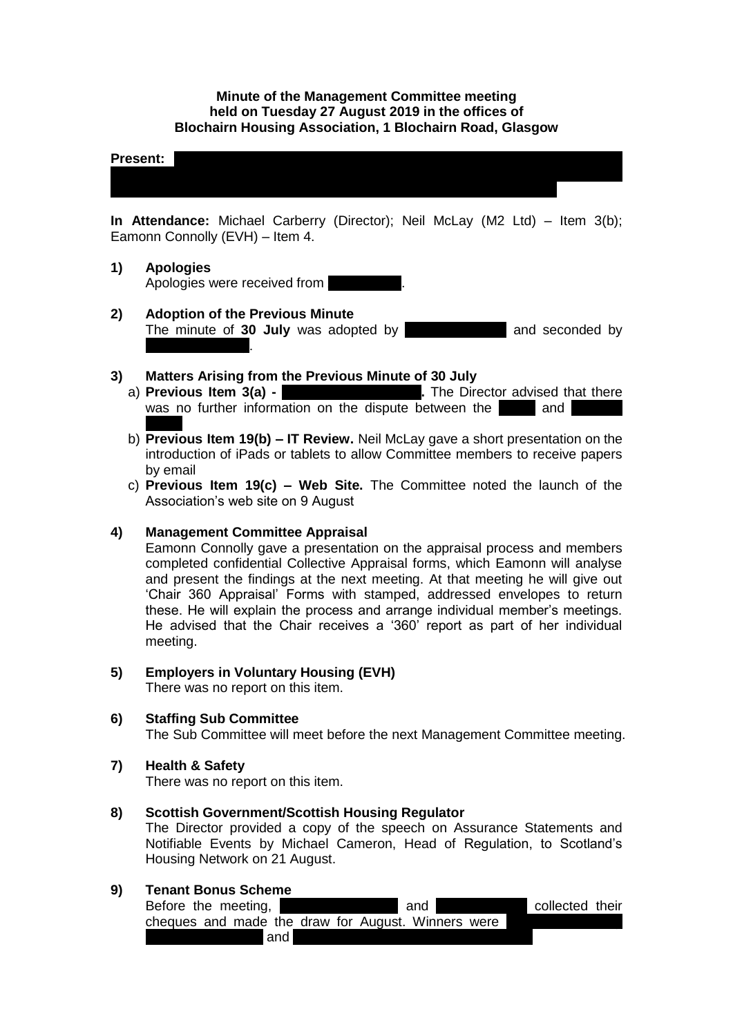## **Minute of the Management Committee meeting held on Tuesday 27 August 2019 in the offices of Blochairn Housing Association, 1 Blochairn Road, Glasgow**

#### **Present:**  $\blacksquare$

**In Attendance:** Michael Carberry (Director); Neil McLay (M2 Ltd) – Item 3(b); Eamonn Connolly (EVH) – Item 4.

Sakina Masih; Rose McLeish; Michelle Moore; Lynsey Morgan; Catherine Neil; Joan

- **1) Apologies** Apologies were received from
- **2) Adoption of the Previous Minute**  The minute of **30 July** was adopted by **Michalle Moore** and seconded by **Frances Tierney**.

- **3) Matters Arising from the Previous Minute of 30 July** a) **Previous Item 3(a)** was no further information on the dispute between the and
	- b) **Previous Item 19(b) – IT Review.** Neil McLay gave a short presentation on the introduction of iPads or tablets to allow Committee members to receive papers by email
	- c) **Previous Item 19(c) – Web Site.** The Committee noted the launch of the Association's web site on 9 August

### **4) Management Committee Appraisal**

Eamonn Connolly gave a presentation on the appraisal process and members completed confidential Collective Appraisal forms, which Eamonn will analyse and present the findings at the next meeting. At that meeting he will give out 'Chair 360 Appraisal' Forms with stamped, addressed envelopes to return these. He will explain the process and arrange individual member's meetings. He advised that the Chair receives a '360' report as part of her individual meeting.

# **5) Employers in Voluntary Housing (EVH)**

There was no report on this item.

## **6) Staffing Sub Committee**

The Sub Committee will meet before the next Management Committee meeting.

#### **7) Health & Safety**

There was no report on this item.

#### **8) Scottish Government/Scottish Housing Regulator**

The Director provided a copy of the speech on Assurance Statements and Notifiable Events by Michael Cameron, Head of Regulation, to Scotland's Housing Network on 21 August.

#### **9) Tenant Bonus Scheme**

| Before the meeting, | and                                                | collected their |  |
|---------------------|----------------------------------------------------|-----------------|--|
|                     | cheques and made the draw for August. Winners were |                 |  |
| and                 |                                                    |                 |  |